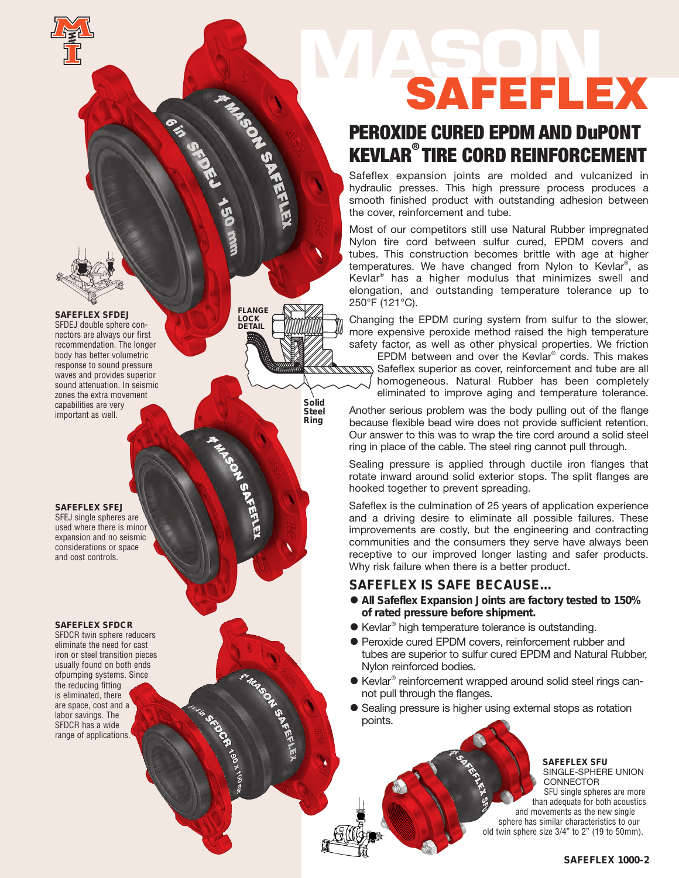# **MASON** SAFEFLEX

### PEROXIDE CURED EPDM AND DuPONT KEVLAR® TIRE CORD REINFORCEMENT

Safeflex expansion joints are molded and vulcanized in hydraulic presses. This high pressure process produces a smooth finished product with outstanding adhesion between the cover, reinforcement and tube.

Most of our competitors still use Natural Rubber impregnated Nylon tire cord between sulfur cured, EPDM covers and tubes. This construction becomes brittle with age at higher temperatures. We have changed from Nylon to Kevlar®, as Kevlar® has a higher modulus that minimizes swell and elongation, and outstanding temperature tolerance up to 250°F (121°C).

Changing the EPDM curing system from sulfur to the slower, more expensive peroxide method raised the high temperature safety factor, as well as other physical properties. We friction

EPDM between and over the Kevlar® cords. This makes Safeflex superior as cover, reinforcement and tube are all homogeneous. Natural Rubber has been completely eliminated to improve aging and temperature tolerance.

Another serious problem was the body pulling out of the flange because flexible bead wire does not provide sufficient retention. Our answer to this was to wrap the tire cord around a solid steel ring in place of the cable. The steel ring cannot pull through.

Sealing pressure is applied through ductile iron flanges that rotate inward around solid exterior stops. The split flanges are hooked together to prevent spreading.

Safeflex is the culmination of 25 years of application experience and a driving desire to eliminate all possible failures. These improvements are costly, but the engineering and contracting communities and the consumers they serve have always been receptive to our improved longer lasting and safer products. Why risk failure when there is a better product.

### **SAFEFLEX IS SAFE BECAUSE…**

- **All Safeflex Expansion Joints are factory tested to 150% of rated pressure before shipment.**
- Kevlar ® high temperature tolerance is outstanding.
- Peroxide cured EPDM covers, reinforcement rubber and tubes are superior to sulfur cured EPDM and Natural Rubber, Nylon reinforced bodies.
- Kevlar<sup>®</sup> reinforcement wrapped around solid steel rings cannot pull through the flanges.
- Sealing pressure is higher using external stops as rotation points.

#### **SAFEFLEX SFU** SINGLE-SPHERE UNION CONNECTOR

SFU single spheres are more than adequate for both acoustics and movements as the new single sphere has similar characteristics to our old twin sphere size 3/4" to 2" (19 to 50mm).

**SAFEFLEX SFDEJ** SFDEJ double sphere connectors are always our first recommendation. The longer body has better volumetric response to sound pressure waves and provides superior sound attenuation. In seismic zones the extra movement capabilities are very important as well.

**FLANGE LOCK DETAIL**

**FPO**

**FROM** 

**Solid Steel Ring**

**SAFEFLEX SFEJ** SFEJ single spheres are used where there is minor expansion and no seismic considerations or space and cost controls.

**SAFEFLEX SFDCR** SFDCR twin sphere reducers eliminate the need for cast iron or steel transition pieces usually found on both ends ofpumping systems. Since the reducing fitting is eliminated, there are space, cost and a labor savings. The SFDCR has a wide range of applications.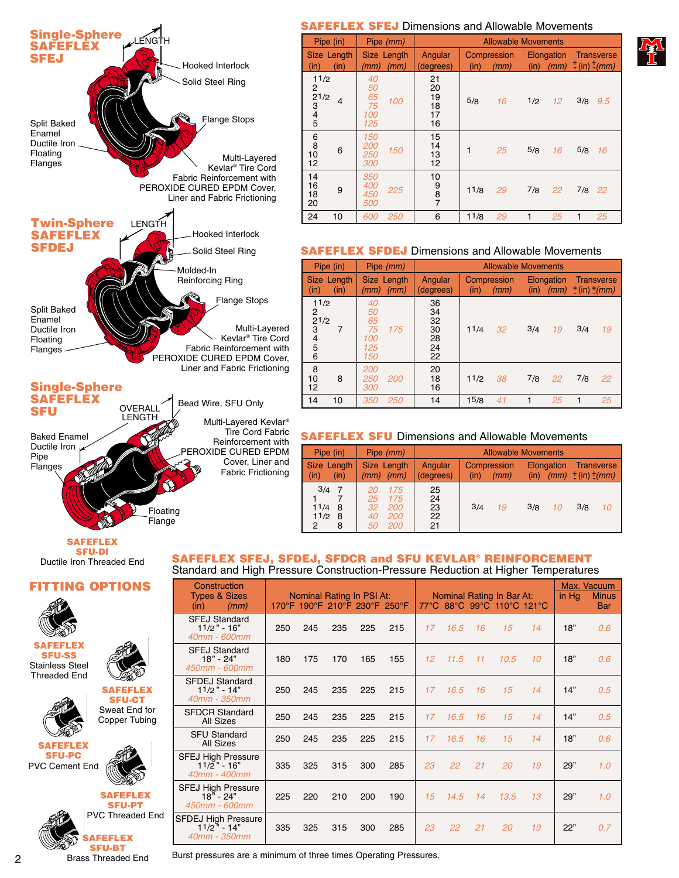

### **SAFEFLEX SFEJ** Dimensions and Allowable Movements

| Pipe (in)                                                            | Pipe (mm)                                 | <b>Allowable Movements</b>                          |            |                        |                                                 |  |  |  |  |
|----------------------------------------------------------------------|-------------------------------------------|-----------------------------------------------------|------------|------------------------|-------------------------------------------------|--|--|--|--|
| Size Length<br>(in)<br>(in)                                          | Size Length<br>(mm)<br>(mm)               | Angular<br>Compression<br>(degrees)<br>(in)<br>(mm) |            | Elongation             | Transverse<br>(in) $(mm)$ $\pm$ (in) $\pm$ (mm) |  |  |  |  |
| 11/2<br>2<br>21/2<br>4<br>$\begin{array}{c} 3 \\ 4 \\ 5 \end{array}$ | 40<br>50<br>65<br>75<br>100<br>100<br>125 | 21<br>20<br>19<br>18<br>17<br>16                    | 5/8<br>16  | 1/2<br>12 <sup>2</sup> | 3/8<br>9.5                                      |  |  |  |  |
| $\begin{array}{c} 6 \\ 8 \\ 10 \end{array}$<br>6<br>12               | 150<br>200<br>150<br>250<br>300           | 15<br>14<br>13<br>12                                | 25         | 5/8<br>16              | 5/8<br>16                                       |  |  |  |  |
| 14<br>16<br>9<br>18<br>20                                            | 350<br>400<br>225<br>450<br><i>500</i>    | 10<br>$\begin{array}{c} 9 \\ 8 \\ 7 \end{array}$    | 11/8<br>29 | 7/8<br>22              | 7/8<br>22                                       |  |  |  |  |
| 10<br>24                                                             | <i>250</i><br>600                         | 6                                                   | 11/8<br>29 | 25                     | 25<br>1                                         |  |  |  |  |

### **SAFEFLEX SFDEJ** Dimensions and Allowable Movements

| Pipe (in)                                         |                                           | Pipe (mm)           | <b>Allowable Movements</b>             |                             |    |     |                                           |              |            |
|---------------------------------------------------|-------------------------------------------|---------------------|----------------------------------------|-----------------------------|----|-----|-------------------------------------------|--------------|------------|
| Size Length<br>(in)<br>(in)                       | (mm)                                      | Size Length<br>(mm) | Angular<br>(degrees)                   | Compression<br>(in)<br>(mm) |    |     | Elongation<br>(in) $(mm)$ $+(in)$ $+(mm)$ |              | Transverse |
| 11/2<br>2<br>21/2<br>3<br>7<br>$\frac{4}{5}$<br>6 | 40<br>50<br>65<br>75<br>100<br>125<br>150 | 175                 | 36<br>34<br>32<br>30<br>28<br>24<br>22 | 11/4                        | 32 | 3/4 | 19                                        | 3/4          | 19         |
| 8<br>10<br>8<br>12                                | 200<br>250<br>300                         | 200                 | 20<br>18<br>16                         | 11/2                        | 38 | 7/8 | 22                                        | 7/8          | 22         |
| 14<br>10                                          | 350                                       | 250                 | 14                                     | 15/8                        | 41 | 1   | 25                                        | $\mathbf{1}$ | 25         |

### **SAFEFLEX SFU** Dimensions and Allowable Movements

| Pipe (in)                                   | Pipe (mm)                                                  | <b>Allowable Movements</b> |                             |                            |                                       |  |  |  |  |  |
|---------------------------------------------|------------------------------------------------------------|----------------------------|-----------------------------|----------------------------|---------------------------------------|--|--|--|--|--|
| Size Length<br>(in)<br>(in)                 | Size Length<br>(mm)<br>(mm)                                | Angular<br>(degrees)       | Compression<br>(in)<br>(mm) | Elongation<br>(mm)<br>(in) | Transverse<br>$^{+}$ (in) $^{+}$ (mm) |  |  |  |  |  |
| $3/4$ 7<br>11/4<br>8<br>11/2<br>8<br>2<br>8 | 175<br>175<br>25<br><i>200</i><br><i>200</i><br><i>200</i> | 25<br>24<br>23<br>22<br>21 | 3/4<br>19                   | 3/8<br>10                  | 3/8<br>10                             |  |  |  |  |  |

**SAFEFLEX SFU-DI** Ductile Iron Threaded End

### **FITTING OPTIONS**



**SAFEFLEX SFU-SS** Stainless Steel Threaded End







**SAFEFLEX SFU-CT** Sweat End for Copper Tubing



2 Brass Threaded End

**SAFEFLEX SFEJ, SFDEJ, SFDCR and SFU KEVLAR® REINFORCEMENT**

| SAFEFLEX SFEJ, SFDEJ, SFDCR and SFU KEVLAR® REINFORCEMENT                         |  |  |
|-----------------------------------------------------------------------------------|--|--|
| Standard and High Pressure Construction-Pressure Reduction at Higher Temperatures |  |  |

| Construction<br><b>Types &amp; Sizes</b><br>(mm)<br>(in)          |     |     |     | Nominal Rating In PSI At:<br>170°F 190°F 210°F 230°F 250°F |     |    |      |    | Nominal Rating In Bar At:<br>77°C 88°C 99°C 110°C 121°C |    | in $Hg$ | Max. Vacuum<br><b>Minus</b><br>Bar |
|-------------------------------------------------------------------|-----|-----|-----|------------------------------------------------------------|-----|----|------|----|---------------------------------------------------------|----|---------|------------------------------------|
| <b>SFEJ Standard</b><br>$11/2 - 16$<br>40mm - 600mm               | 250 | 245 | 235 | 225                                                        | 215 | 17 | 16.5 | 16 | 15                                                      | 14 | 18"     | 0.6                                |
| <b>SFEJ Standard</b><br>$18" - 24"$<br>450mm - 600mm              | 180 | 175 | 170 | 165                                                        | 155 | 12 | 11.5 | 11 | 10.5                                                    | 10 | 18"     | 0.6                                |
| <b>SFDEJ Standard</b><br>$11/2$ " - 14"<br>40mm - 350mm           | 250 | 245 | 235 | 225                                                        | 215 | 17 | 16.5 | 16 | 15                                                      | 14 | 14"     | 0.5                                |
| <b>SFDCR Standard</b><br>All Sizes                                | 250 | 245 | 235 | 225                                                        | 215 | 17 | 16.5 | 16 | 15                                                      | 14 | 14"     | 0.5                                |
| <b>SFU Standard</b><br>All Sizes                                  | 250 | 245 | 235 | 225                                                        | 215 | 17 | 16.5 | 16 | 15                                                      | 14 | 18"     | 0.6                                |
| <b>SFEJ High Pressure</b><br>$11/\bar{2}$ " - 16"<br>40mm - 400mm | 335 | 325 | 315 | 300                                                        | 285 | 23 | 22   | 21 | 20                                                      | 19 | 29"     | 1.0                                |
| <b>SFEJ High Pressure</b><br>$18n - 24n$<br>450mm - 600mm         | 225 | 220 | 210 | 200                                                        | 190 | 15 | 14.5 | 14 | 13.5                                                    | 13 | 29"     | 1.0                                |
| SFDEJ High Pressure<br>$11/2$ $+ 14$ "<br>40mm - 350mm            | 335 | 325 | 315 | 300                                                        | 285 | 23 | 22   | 21 | 20                                                      | 19 | 22"     | 0.7                                |

Burst pressures are a minimum of three times Operating Pressures.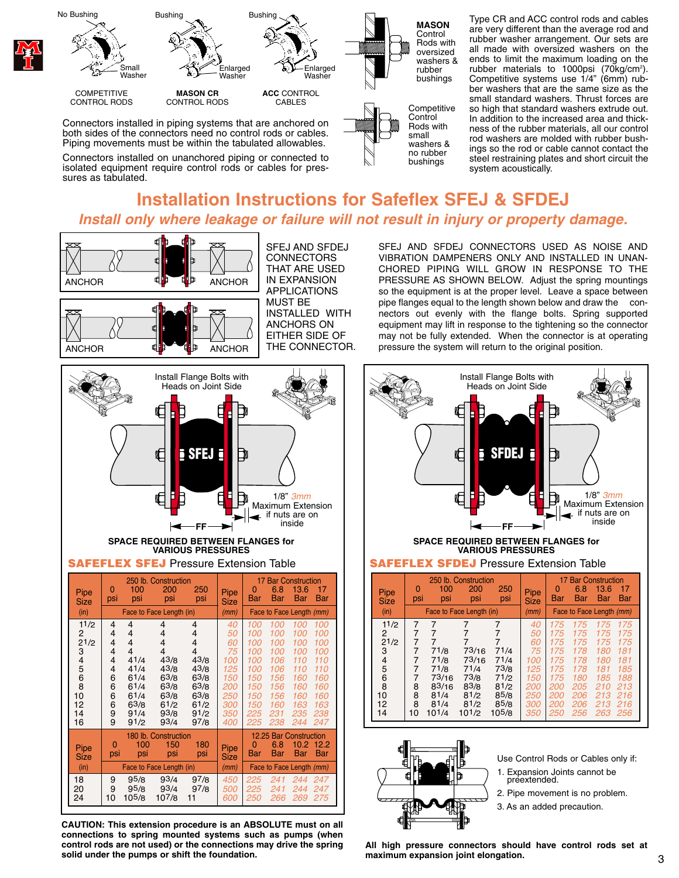

isolated equipment require control rods or cables for pres-

sures as tabulated.

Type CR and ACC control rods and cables are very different than the average rod and rubber washer arrangement. Our sets are all made with oversized washers on the ends to limit the maximum loading on the rubber materials to 1000psi  $(70kg/cm<sup>2</sup>)$ . Competitive systems use 1/4" (6mm) rubber washers that are the same size as the small standard washers. Thrust forces are so high that standard washers extrude out. In addition to the increased area and thickness of the rubber materials, all our control rod washers are molded with rubber bushings so the rod or cable cannot contact the steel restraining plates and short circuit the system acoustically.

### **Installation Instructions for Safeflex SFEJ & SFDEJ** *Install only where leakage or failure will not result in injury or property damage.*



**CAUTION: This extension procedure is an ABSOLUTE must on all connections to spring mounted systems such as pumps (when control rods are not used) or the connections may drive the spring solid under the pumps or shift the foundation.**

SFEJ AND SFDEJ CONNECTORS USED AS NOISE AND VIBRATION DAMPENERS ONLY AND INSTALLED IN UNAN-CHORED PIPING WILL GROW IN RESPONSE TO THE PRESSURE AS SHOWN BELOW. Adjust the spring mountings so the equipment is at the proper level. Leave a space between pipe flanges equal to the length shown below and draw the connectors out evenly with the flange bolts. Spring supported equipment may lift in response to the tightening so the connector may not be fully extended. When the connector is at operating pressure the system will return to the original position.





Use Control Rods or Cables only if:

- 1. Expansion Joints cannot be preextended.
- 2. Pipe movement is no problem.
- 3. As an added precaution.

**All high pressure connectors should have control rods set at maximum expansion joint elongation.**